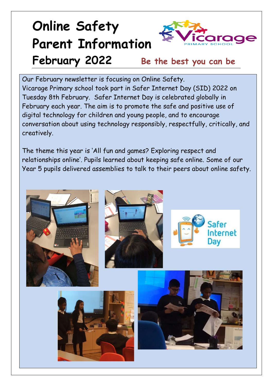## **Online Safety Parent Information February 2022 Be the best you can be**



Our February newsletter is focusing on Online Safety. Vicarage Primary school took part in Safer Internet Day (SID) 2022 on Tuesday 8th February. Safer Internet Day is celebrated globally in February each year. The aim is to promote the safe and positive use of digital technology for children and young people, and to encourage conversation about using technology responsibly, respectfully, critically, and creatively.

The theme this year is 'All fun and games? Exploring respect and relationships online'. Pupils learned about keeping safe online. Some of our Year 5 pupils delivered assemblies to talk to their peers about online safety.

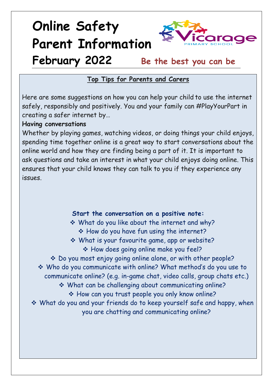## **Online Safety Parent Information February 2022 Be the best you can be**



### **Top Tips for Parents and Carers**

Here are some suggestions on how you can help your child to use the internet safely, responsibly and positively. You and your family can #PlayYourPart in creating a safer internet by…

#### **Having conversations**

Whether by playing games, watching videos, or doing things your child enjoys, spending time together online is a great way to start conversations about the online world and how they are finding being a part of it. It is important to ask questions and take an interest in what your child enjoys doing online. This ensures that your child knows they can talk to you if they experience any issues.

#### **Start the conversation on a positive note:**

 What do you like about the internet and why? \* How do you have fun using the internet?

 What is your favourite game, app or website? \* How does going online make you feel?

 Do you most enjoy going online alone, or with other people? Who do you communicate with online? What method's do you use to

communicate online? (e.g. in-game chat, video calls, group chats etc.)

What can be challenging about communicating online?

\* How can you trust people you only know online?

 What do you and your friends do to keep yourself safe and happy, when you are chatting and communicating online?